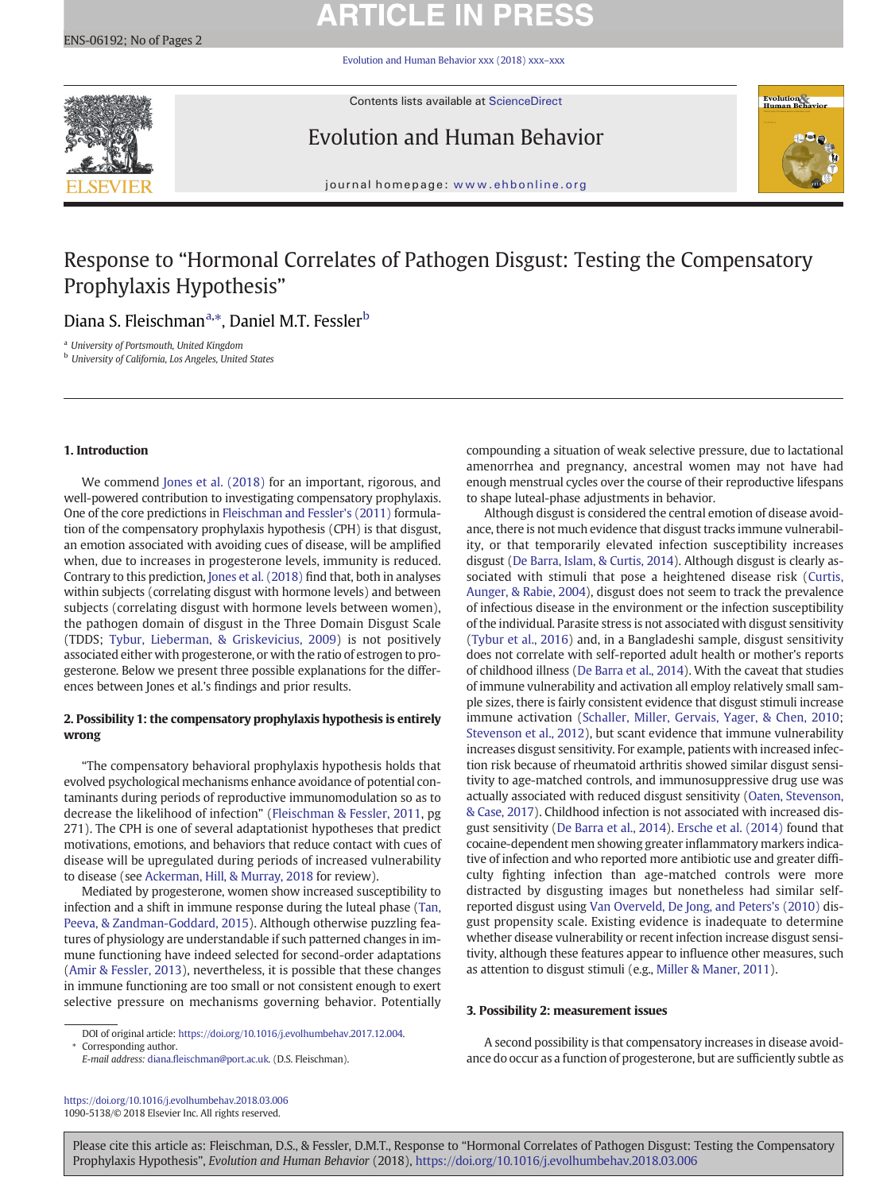# **ARTICLE IN PRESS**

[Evolution and Human Behavior xxx \(2018\) xxx](https://doi.org/10.1016/j.evolhumbehav.2018.03.006)–xxx



Contents lists available at ScienceDirect

Evolution and Human Behavior



journal homepage: <www.ehbonline.org>

## Response to "Hormonal Correlates of Pathogen Disgust: Testing the Compensatory Prophylaxis Hypothesis"

### Diana S. Fleischman<sup>a,</sup>\*, Daniel M.T. Fessler<sup>b</sup>

<sup>a</sup> University of Portsmouth, United Kingdom

**b** University of California, Los Angeles, United States

#### 1. Introduction

We commend [Jones et al. \(2018\)](#page-1-0) for an important, rigorous, and well-powered contribution to investigating compensatory prophylaxis. One of the core predictions in [Fleischman and Fessler's \(2011\)](#page-1-0) formulation of the compensatory prophylaxis hypothesis (CPH) is that disgust, an emotion associated with avoiding cues of disease, will be amplified when, due to increases in progesterone levels, immunity is reduced. Contrary to this prediction, [Jones et al. \(2018\)](#page-1-0) find that, both in analyses within subjects (correlating disgust with hormone levels) and between subjects (correlating disgust with hormone levels between women), the pathogen domain of disgust in the Three Domain Disgust Scale (TDDS; [Tybur, Lieberman, & Griskevicius, 2009\)](#page-1-0) is not positively associated either with progesterone, or with the ratio of estrogen to progesterone. Below we present three possible explanations for the differences between Jones et al.'s findings and prior results.

#### 2. Possibility 1: the compensatory prophylaxis hypothesis is entirely wrong

"The compensatory behavioral prophylaxis hypothesis holds that evolved psychological mechanisms enhance avoidance of potential contaminants during periods of reproductive immunomodulation so as to decrease the likelihood of infection" [\(Fleischman & Fessler, 2011](#page-1-0), pg 271). The CPH is one of several adaptationist hypotheses that predict motivations, emotions, and behaviors that reduce contact with cues of disease will be upregulated during periods of increased vulnerability to disease (see [Ackerman, Hill, & Murray, 2018](#page-1-0) for review).

Mediated by progesterone, women show increased susceptibility to infection and a shift in immune response during the luteal phase ([Tan,](#page-1-0) [Peeva, & Zandman-Goddard, 2015\)](#page-1-0). Although otherwise puzzling features of physiology are understandable if such patterned changes in immune functioning have indeed selected for second-order adaptations [\(Amir & Fessler, 2013](#page-1-0)), nevertheless, it is possible that these changes in immune functioning are too small or not consistent enough to exert selective pressure on mechanisms governing behavior. Potentially

DOI of original article: https://doi.org/[10.1016/j.evolhumbehav.2017.12.004](https://doi.org/10.1016/j.evolhumbehav.2017.12.004). Corresponding author.

E-mail address: diana.fl[eischman@port.ac.uk.](diana.fleischman@port.ac.uk) (D.S. Fleischman).

<https://doi.org/10.1016/j.evolhumbehav.2018.03.006> 1090-5138/© 2018 Elsevier Inc. All rights reserved.

compounding a situation of weak selective pressure, due to lactational amenorrhea and pregnancy, ancestral women may not have had enough menstrual cycles over the course of their reproductive lifespans to shape luteal-phase adjustments in behavior.

Although disgust is considered the central emotion of disease avoidance, there is not much evidence that disgust tracks immune vulnerability, or that temporarily elevated infection susceptibility increases disgust [\(De Barra, Islam, & Curtis, 2014](#page-1-0)). Although disgust is clearly associated with stimuli that pose a heightened disease risk ([Curtis,](#page-1-0) [Aunger, & Rabie, 2004\)](#page-1-0), disgust does not seem to track the prevalence of infectious disease in the environment or the infection susceptibility of the individual. Parasite stress is not associated with disgust sensitivity [\(Tybur et al., 2016](#page-1-0)) and, in a Bangladeshi sample, disgust sensitivity does not correlate with self-reported adult health or mother's reports of childhood illness [\(De Barra et al., 2014](#page-1-0)). With the caveat that studies of immune vulnerability and activation all employ relatively small sample sizes, there is fairly consistent evidence that disgust stimuli increase immune activation ([Schaller, Miller, Gervais, Yager, & Chen, 2010;](#page-1-0) [Stevenson et al., 2012](#page-1-0)), but scant evidence that immune vulnerability increases disgust sensitivity. For example, patients with increased infection risk because of rheumatoid arthritis showed similar disgust sensitivity to age-matched controls, and immunosuppressive drug use was actually associated with reduced disgust sensitivity [\(Oaten, Stevenson,](#page-1-0) [& Case, 2017](#page-1-0)). Childhood infection is not associated with increased disgust sensitivity ([De Barra et al., 2014](#page-1-0)). [Ersche et al. \(2014\)](#page-1-0) found that cocaine-dependent men showing greater inflammatory markers indicative of infection and who reported more antibiotic use and greater difficulty fighting infection than age-matched controls were more distracted by disgusting images but nonetheless had similar selfreported disgust using [Van Overveld, De Jong, and Peters's \(2010\)](#page-1-0) disgust propensity scale. Existing evidence is inadequate to determine whether disease vulnerability or recent infection increase disgust sensitivity, although these features appear to influence other measures, such as attention to disgust stimuli (e.g., [Miller & Maner, 2011\)](#page-1-0).

#### 3. Possibility 2: measurement issues

A second possibility is that compensatory increases in disease avoidance do occur as a function of progesterone, but are sufficiently subtle as

Please cite this article as: Fleischman, D.S., & Fessler, D.M.T., Response to "Hormonal Correlates of Pathogen Disgust: Testing the Compensatory Prophylaxis Hypothesis", Evolution and Human Behavior (2018), <https://doi.org/10.1016/j.evolhumbehav.2018.03.006>